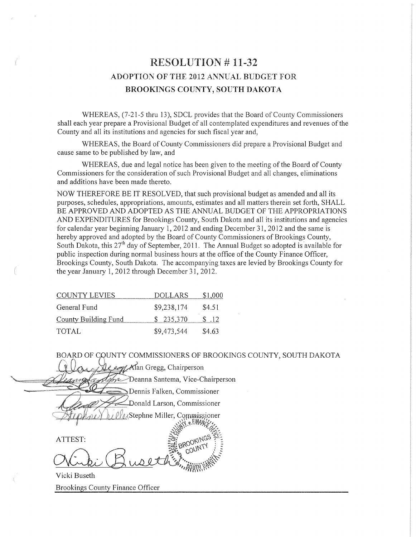# RESOLUTION # I1-32 ADOPTION OF THE 2012 ANNUAL BUDGET FOR BROOKINGS COUNTY, SOUTH DAKOTA

WHEREAS, (7-21-5 thru 13), SDCL provides that the Board of County Commissioners shall each year prepare a Provisional Budget of all contemplated expenditures and revenues of the County and all its institutions and agencies for such fiscal year and,

WHEREAS, the Board of County Commissioners did prepare a Provisional Budget and cause same to be published by law, and

WHEREAS, due and legal notice has been given to the meeting of the Board of County Commissioners for the consideration of such Provisional Budget and all changes, eliminations and additions have been made thereto.

NOW THEREFORE BE IT RESOLVED, that such provisional budget as amended and all its purposes, schedules, appropriations, amounts, estimates and all matters therein set forth, SHALL BE APPROVED AND ADOPTED AS THE ANNUAL BUDGET OF THE APPROPRIATIONS AND EXPENDITURES for Brookings County, South Dakota and all its institutions and agencies for calendar year beginning January 1, 2012 and ending December 31, 2012 and the same is hereby approved and adopted by the Board of County Commissioners of Brookings County, South Dakota, this  $27<sup>th</sup>$  day of September, 2011. The Annual Budget so adopted is available for public inspection during normal business hours at the office of the County Finance Officer, Brookings County, South Dakota. The accompanying taxes are levied by Brookings County for the year January 1, 2012 through December 31, 2012.

| <b>COUNTY LEVIES</b>        | <b>DOLLARS</b> | \$1,000 |
|-----------------------------|----------------|---------|
| General Fund                | \$9,238,174    | \$4.51  |
| <b>County Building Fund</b> | \$235,370      | \$ .12  |
| <b>TOTAL</b>                | \$9,473,544    | \$4.63  |

BOARD OF COUNTY COMMISSIONERS OF BROOKINGS COUNTY, SOUTH DAKOTA en Alan Gregg, Chairperson >Deanna Santema, Vice-Chairperson thre Dennis Falken, Commissioner  $\Rightarrow$ Donald Larson, Commissioner Stephne Miller, Commissioner ATTEST:

Vicki Buseth Brookings County Finance Officer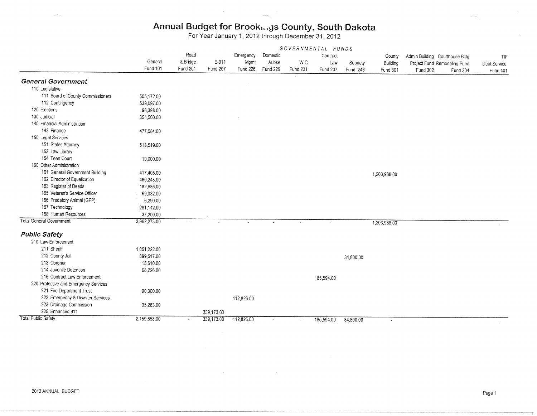### Annual Budget for Brook...gs County, South Dakota

For Year January 1, 2012 through December 31, 2012

|                                       | GOVERNMENTAL FUNDS         |                             |                   |                  |                               |                               |                 |                      |                                       |                                |                                          |                          |
|---------------------------------------|----------------------------|-----------------------------|-------------------|------------------|-------------------------------|-------------------------------|-----------------|----------------------|---------------------------------------|--------------------------------|------------------------------------------|--------------------------|
|                                       |                            | Road                        |                   | Emergency        | Domestic<br>Aubse<br>Fund 229 | <b>WIC</b><br><b>Fund 231</b> | Contract        |                      | County<br>Building<br><b>Fund 301</b> | Admin Building Courthouse Bidg |                                          | TIF                      |
|                                       | General<br><b>Fund 101</b> | & Bridge<br><b>Fund 201</b> | E-911<br>Fund 207 | Mgmt<br>Fund 226 |                               |                               | Law<br>Fund 237 | Sobriety<br>Fund 248 |                                       | Fund 302                       | Project Fund Remodeling Fund<br>Fund 304 | Debt Service<br>Fund 401 |
|                                       |                            |                             |                   |                  |                               |                               |                 |                      |                                       |                                |                                          |                          |
| <b>General Government</b>             |                            |                             |                   |                  |                               |                               |                 |                      |                                       |                                |                                          |                          |
| 110 Legislative                       |                            |                             |                   |                  |                               |                               |                 |                      |                                       |                                |                                          |                          |
| 111 Board of County Commissioners     | 505,172.00                 |                             |                   |                  |                               |                               |                 |                      |                                       |                                |                                          |                          |
| 112 Contingency                       | 539,097.00                 |                             |                   |                  |                               |                               |                 |                      |                                       |                                |                                          |                          |
| 120 Elections                         | 98,398.00                  |                             |                   |                  |                               |                               |                 |                      |                                       |                                |                                          |                          |
| 130 Judicial                          | 354,500.00                 |                             |                   |                  |                               |                               |                 |                      |                                       |                                |                                          |                          |
| 140 Financial Administration          |                            |                             |                   |                  |                               |                               |                 |                      |                                       |                                |                                          |                          |
| 143 Finance                           | 477,584.00                 |                             |                   |                  |                               |                               |                 |                      |                                       |                                |                                          |                          |
| 150 Legal Services                    |                            |                             |                   |                  |                               |                               |                 |                      |                                       |                                |                                          |                          |
| 151 States Attorney                   | 513,519.00                 |                             |                   |                  |                               |                               |                 |                      |                                       |                                |                                          |                          |
| 153 Law Library                       |                            |                             |                   |                  |                               |                               |                 |                      |                                       |                                |                                          |                          |
| 154 Teen Court                        | 10,000.00                  |                             |                   |                  |                               |                               |                 |                      |                                       |                                |                                          |                          |
| 160 Other Administration              |                            |                             |                   |                  |                               |                               |                 |                      |                                       |                                |                                          |                          |
| 161 General Government Building       | 417,405.00                 |                             |                   |                  |                               |                               |                 |                      | 1,203,988.00                          |                                |                                          |                          |
| 162 Director of Equalization          | 460,248.00                 |                             |                   |                  |                               |                               |                 |                      |                                       |                                |                                          |                          |
| 163 Register of Deeds                 | 182,686.00                 |                             |                   |                  |                               |                               |                 |                      |                                       |                                |                                          |                          |
| 165 Veteran's Service Officer         | 69,032.00                  |                             |                   |                  |                               |                               |                 |                      |                                       |                                |                                          |                          |
| 166 Predatory Animal (GFP)            | 6,290.00                   |                             |                   |                  |                               |                               |                 |                      |                                       |                                |                                          |                          |
| 167 Technology                        | 291,142.00                 |                             |                   |                  |                               |                               |                 |                      |                                       |                                |                                          |                          |
| 168 Human Resources                   | 37,200.00                  |                             |                   |                  |                               |                               |                 |                      |                                       |                                |                                          |                          |
| <b>Total General Government</b>       | 3,962,273.00               | $\omega$                    |                   |                  |                               |                               |                 |                      | 1,203,988.00                          |                                |                                          |                          |
| <b>Public Safety</b>                  |                            |                             |                   |                  |                               |                               |                 |                      |                                       |                                |                                          |                          |
| 210 Law Enforcement                   |                            |                             |                   |                  |                               |                               |                 |                      |                                       |                                |                                          |                          |
| 211 Sheriff                           | 1,051,222.00               |                             |                   |                  |                               |                               |                 |                      |                                       |                                |                                          |                          |
| 212 County Jail                       | 899,517.00                 |                             |                   |                  |                               |                               |                 | 34,800.00            |                                       |                                |                                          |                          |
| 213 Coroner                           | 15,610.00                  |                             |                   |                  |                               |                               |                 |                      |                                       |                                |                                          |                          |
| 214 Juvenile Detention                | 68,226.00                  |                             |                   |                  |                               |                               |                 |                      |                                       |                                |                                          |                          |
| 215 Contract Law Enforcement          |                            |                             |                   |                  |                               |                               | 185,594.00      |                      |                                       |                                |                                          |                          |
| 220 Protective and Emergency Services |                            |                             |                   |                  |                               |                               |                 |                      |                                       |                                |                                          |                          |
| 221 Fire Department Trust             | 90,000.00                  |                             |                   |                  |                               |                               |                 |                      |                                       |                                |                                          |                          |
| 222 Emergency & Disaster Services     |                            |                             |                   | 112,826.00       |                               |                               |                 |                      |                                       |                                |                                          |                          |
| 223 Drainage Commission               | 35,283.00                  |                             |                   |                  |                               |                               |                 |                      |                                       |                                |                                          |                          |
| 225 Enhanced 911                      |                            |                             | 339,173.00        |                  |                               |                               |                 |                      |                                       |                                |                                          |                          |
| <b>Total Public Safety</b>            | 2,159,858.00               |                             | 339,173.00        | 112,826.00       | $\overline{a}$                | $\sim$                        | 185,594.00      | 34,800.00            | $\sim$                                |                                |                                          |                          |
|                                       |                            |                             |                   |                  |                               |                               |                 |                      |                                       |                                |                                          |                          |

 $\sim$   $\sim$ 

 $\sim$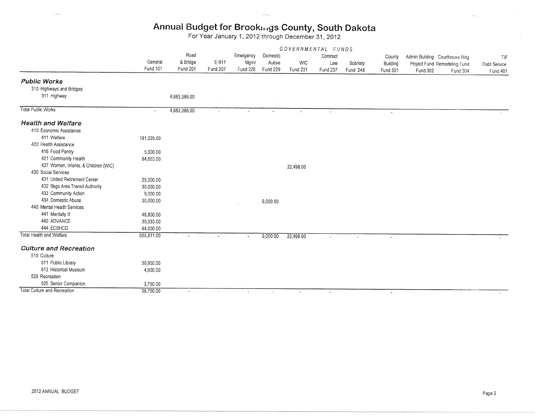# Annual Budget for Brookm®,gs County, South Dakota

For Year January 1, 2012 through December 31, 2012

|                                      | GOVERNMENTAL FUNDS  |              |                       |                          |          |                 |          |                       |                          |                                |                              |              |
|--------------------------------------|---------------------|--------------|-----------------------|--------------------------|----------|-----------------|----------|-----------------------|--------------------------|--------------------------------|------------------------------|--------------|
|                                      |                     | Road         |                       | Emergency                | Domestic |                 | Contract |                       | County                   | Admin Building Courthouse Bidg |                              | TIF          |
|                                      | General<br>Fund 101 | & Bridge     | E-911                 | Mgmt                     | Aubse    | <b>WIC</b>      | Law      | Sobriety              | Building                 |                                | Project Fund Remodeling Fund | Debt Service |
|                                      |                     | Fund 201     | Fund 207              | Fund 226                 | Fund 229 | <b>Fund 231</b> | Fund 237 | Fund 248              | <b>Fund 301</b>          | Fund 302                       | Fund 304                     | Fund 401     |
| <b>Public Works</b>                  |                     |              |                       |                          |          |                 |          |                       |                          |                                |                              |              |
| 310 Highways and Bridges             |                     |              |                       |                          |          |                 |          |                       |                          |                                |                              |              |
| 311 Highway                          |                     | 4,683,386.00 |                       |                          |          |                 |          |                       |                          |                                |                              |              |
|                                      |                     |              |                       |                          |          |                 |          |                       |                          |                                |                              |              |
| Total Public Works                   | ÷.                  | 4,683,386.00 | $\sim$                |                          |          |                 |          |                       | $\overline{\phantom{a}}$ |                                |                              |              |
| <b>Health and Welfare</b>            |                     |              |                       |                          |          |                 |          |                       |                          |                                |                              |              |
| 410 Economic Assistance              |                     |              |                       |                          |          |                 |          |                       |                          |                                |                              |              |
| 411 Welfare                          | 191,025.00          |              |                       |                          |          |                 |          |                       |                          |                                |                              |              |
| 420 Health Assistance                |                     |              |                       |                          |          |                 |          |                       |                          |                                |                              |              |
| 416 Food Pantry                      | 5,000.00            |              |                       |                          |          |                 |          |                       |                          |                                |                              |              |
| 421 Community Health                 | 94,653.00           |              |                       |                          |          |                 |          |                       |                          |                                |                              |              |
| 427 Women, Infants, & Children (WIC) |                     |              |                       |                          |          | 22,498.00       |          |                       |                          |                                |                              |              |
| 430 Social Services                  |                     |              |                       |                          |          |                 |          |                       |                          |                                |                              |              |
| 431 United Retirement Center         | 25,000.00           |              |                       |                          |          |                 |          |                       |                          |                                |                              |              |
| 432 Bkgs Area Transit Authority      | 30,000.00           |              |                       |                          |          |                 |          |                       |                          |                                |                              |              |
| 433 Community Action                 | 9,000.00            |              |                       |                          |          |                 |          |                       |                          |                                |                              |              |
| 434 Domestic Abuse                   | 30,000.00           |              |                       |                          | 9,000.00 |                 |          |                       |                          |                                |                              |              |
| 440 Mental Health Services           |                     |              |                       |                          |          |                 |          |                       |                          |                                |                              |              |
| 441 Mentally III                     | 46,800.00           |              |                       |                          |          |                 |          |                       |                          |                                |                              |              |
| 442 ADVANCE                          | 30,333.00           |              |                       |                          |          |                 |          |                       |                          |                                |                              |              |
| 444 ECBHCD                           | 44,000.00           |              |                       |                          |          |                 |          |                       |                          |                                |                              |              |
| Total Health and Welfare             | 505,811.00          |              | $\tilde{\phantom{a}}$ | $\overline{\phantom{a}}$ | 9,000.00 | 22,498.00       | $\sim$   | $\tilde{\phantom{a}}$ | $\sim$                   |                                |                              |              |
| <b>Culture and Recreation</b>        |                     |              |                       |                          |          |                 |          |                       |                          |                                |                              |              |
| 510 Culture                          |                     |              |                       |                          |          |                 |          |                       |                          |                                |                              |              |
| 511 Public Library                   | 30,950.00           |              |                       |                          |          |                 |          |                       |                          |                                |                              |              |
| 512 Historical Museum                | 4,000.00            |              |                       |                          |          |                 |          |                       |                          |                                |                              |              |
| 520 Recreation                       |                     |              |                       |                          |          |                 |          |                       |                          |                                |                              |              |
| 525 Senior Companion                 | 3,750.00            |              |                       |                          |          |                 |          |                       |                          |                                |                              |              |
| Total Culture and Recreation         | 38,700.00           | $\omega$     | $\sim$                | $\omega$                 | $\sim$   | $\blacksquare$  | $\sim$   |                       | $\sim$                   |                                |                              |              |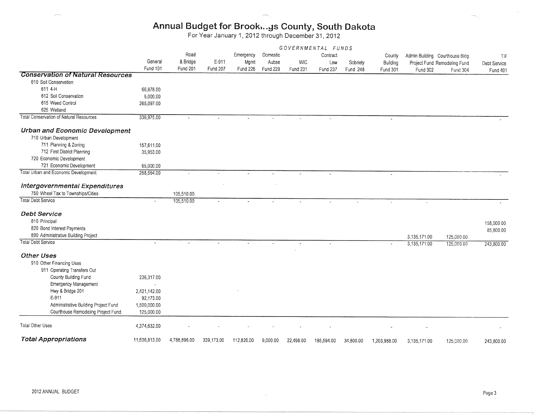# Annual Budget for Brook...gs County, South Dakota<br>For Year January 1, 2012 through December 31, 2012

|                                                | GOVERNMENTAL FUNDS         |                                     |                   |                               |                               |                               |                             |                      |                                |                                            |                                          |                                        |
|------------------------------------------------|----------------------------|-------------------------------------|-------------------|-------------------------------|-------------------------------|-------------------------------|-----------------------------|----------------------|--------------------------------|--------------------------------------------|------------------------------------------|----------------------------------------|
|                                                | General<br><b>Fund 101</b> | Road<br>& Bridge<br><b>Fund 201</b> | E-911<br>Fund 207 | Emergency<br>Mgmt<br>Fund 226 | Domestic<br>Aubse<br>Fund 229 | <b>WIC</b><br><b>Fund 231</b> | Contract<br>Law<br>Fund 237 | Sobriety<br>Fund 248 | County<br>Building<br>Fund 301 | Admin Building Courthouse Bldg<br>Fund 302 | Project Fund Remodeling Fund<br>Fund 304 | TIF<br>Debt Service<br><b>Fund 401</b> |
| <b>Conservation of Natural Resources</b>       |                            |                                     |                   |                               |                               |                               |                             |                      |                                |                                            |                                          |                                        |
| 610 Soil Conservation                          |                            |                                     |                   |                               |                               |                               |                             |                      |                                |                                            |                                          |                                        |
| 611 4-H                                        | 66,878.00                  |                                     |                   |                               |                               |                               |                             |                      |                                |                                            |                                          |                                        |
| 612 Soil Conservation                          | 5,000.00                   |                                     |                   |                               |                               |                               |                             |                      |                                |                                            |                                          |                                        |
| 615 Weed Control                               | 265,097.00                 |                                     |                   |                               |                               |                               |                             |                      |                                |                                            |                                          |                                        |
| 625 Wetland                                    |                            |                                     |                   |                               |                               |                               |                             |                      |                                |                                            |                                          |                                        |
| <b>Total Conservation of Natural Resources</b> | 336,975.00                 |                                     |                   |                               |                               |                               | $\ddot{\phantom{a}}$        |                      | $\mathbf{r}$                   |                                            |                                          |                                        |
| <b>Urban and Economic Development</b>          |                            |                                     |                   |                               |                               |                               |                             |                      |                                |                                            |                                          |                                        |
| 710 Urban Development                          |                            |                                     |                   |                               |                               |                               |                             |                      |                                |                                            |                                          |                                        |
| 711 Planning & Zoning                          | 157,611.00                 |                                     |                   |                               |                               |                               |                             |                      |                                |                                            |                                          |                                        |
| 712 First District Planning                    | 35,953.00                  |                                     |                   |                               |                               |                               |                             |                      |                                |                                            |                                          |                                        |
| 720 Economic Development                       |                            |                                     |                   |                               |                               |                               |                             |                      |                                |                                            |                                          |                                        |
| 721 Economic Development                       | 65,000.00                  |                                     |                   |                               |                               |                               |                             |                      |                                |                                            |                                          |                                        |
| <b>Total Urban and Economic Development</b>    | 258,564.00                 |                                     |                   |                               |                               |                               | ä,                          |                      | $\sim$                         |                                            |                                          |                                        |
| <b>Intergovernmental Expenditures</b>          |                            |                                     |                   |                               |                               |                               |                             |                      |                                |                                            |                                          |                                        |
| 750 Wheel Tax to Townships/Cities              |                            | 105,510.00                          |                   |                               |                               |                               |                             |                      |                                |                                            |                                          |                                        |
| Total Debt Service                             |                            | 105,510.00                          | $\sim$            |                               |                               |                               |                             |                      |                                | $\sim$                                     |                                          |                                        |
| <b>Debt Service</b>                            |                            |                                     |                   |                               |                               |                               |                             |                      |                                |                                            |                                          |                                        |
| 810 Principal                                  |                            |                                     |                   |                               |                               |                               |                             |                      |                                |                                            |                                          | 158,000.00                             |
| 820 Bond Interest Payments                     |                            |                                     |                   |                               |                               |                               |                             |                      |                                |                                            |                                          | 85,800.00                              |
| 890 Administrative Building Project            |                            |                                     |                   |                               |                               |                               |                             |                      |                                | 3,135,171.00                               | 125,000.00                               |                                        |
| <b>Total Debt Service</b>                      |                            |                                     |                   |                               |                               | $\blacksquare$                | $\blacksquare$              |                      |                                | 3,135,171.00                               | 125,000.00                               | 243,800.00                             |
| <b>Other Uses</b>                              |                            |                                     |                   |                               |                               |                               |                             |                      |                                |                                            |                                          |                                        |
| 910 Other Financing Uses                       |                            |                                     |                   |                               |                               |                               |                             |                      |                                |                                            |                                          |                                        |
| 911 Operating Transfers Out                    |                            |                                     |                   |                               |                               |                               |                             |                      |                                |                                            |                                          |                                        |
| County Building Fund                           | 236,317.00                 |                                     |                   |                               |                               |                               |                             |                      |                                |                                            |                                          |                                        |
| Emergency Management                           |                            |                                     |                   |                               |                               |                               |                             |                      |                                |                                            |                                          |                                        |
| Hwy & Bridge 201                               | 2,421,142.00               |                                     |                   |                               |                               |                               |                             |                      |                                |                                            |                                          |                                        |
| E-911                                          | 92,173.00                  |                                     |                   |                               |                               |                               |                             |                      |                                |                                            |                                          |                                        |
| Administrative Building Project Fund           | 1,500,000.00               |                                     |                   |                               |                               |                               |                             |                      |                                |                                            |                                          |                                        |
| Courthouse Remodeling Project Fund             | 125,000.00                 |                                     |                   |                               |                               |                               |                             |                      |                                |                                            |                                          |                                        |
| <b>Total Other Uses</b>                        | 4,374,632.00               |                                     |                   |                               |                               |                               |                             |                      |                                |                                            |                                          |                                        |
| <b>Total Appropriations</b>                    | 11,636,813.00              | 4,788,896.00                        | 339,173.00        | 112,826.00                    | 9,000.00                      | 22,498.00                     | 185,594.00                  | 34,800.00            | 1,203,988.00                   | 3,135,171.00                               | 125,000.00                               | 243,800.00                             |

 $\sim$